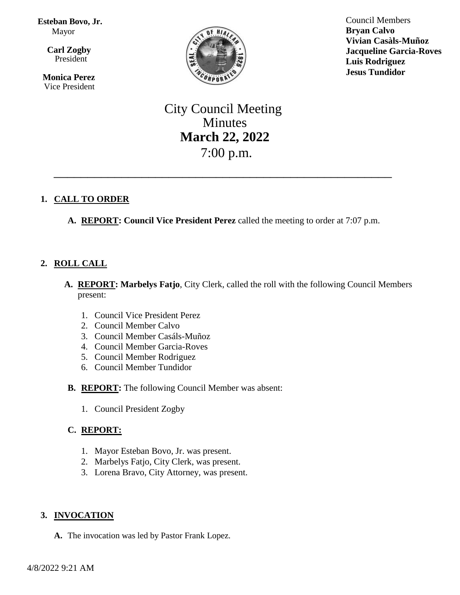#### **Esteban Bovo, Jr.**  Mayor

 $\overline{\mathbf{a}}$  **Carl Zogby**

President

 **Monica Perez** Vice President



Council Members **Bryan Calvo Vivian Casàls-Muñoz Jacqueline Garcia-Roves Luis Rodriguez Jesus Tundidor**

# City Council Meeting Minutes **March 22, 2022** 7:00 p.m.

\_\_\_\_\_\_\_\_\_\_\_\_\_\_\_\_\_\_\_\_\_\_\_\_\_\_\_\_\_\_\_\_\_\_\_\_\_\_\_\_\_\_\_\_\_\_\_\_\_\_

# **1. CALL TO ORDER**

**A. REPORT: Council Vice President Perez** called the meeting to order at 7:07 p.m.

# **2. ROLL CALL**

- **A. REPORT: Marbelys Fatjo**, City Clerk, called the roll with the following Council Members present:
	- 1. Council Vice President Perez
	- 2. Council Member Calvo
	- 3. Council Member Casáls-Muñoz
	- 4. Council Member Garcia-Roves
	- 5. Council Member Rodriguez
	- 6. Council Member Tundidor
- **B. REPORT:** The following Council Member was absent:
	- 1. Council President Zogby

# **C. REPORT:**

- 1. Mayor Esteban Bovo, Jr. was present.
- 2. Marbelys Fatjo, City Clerk, was present.
- 3. Lorena Bravo, City Attorney, was present.

# **3. INVOCATION**

**A.** The invocation was led by Pastor Frank Lopez.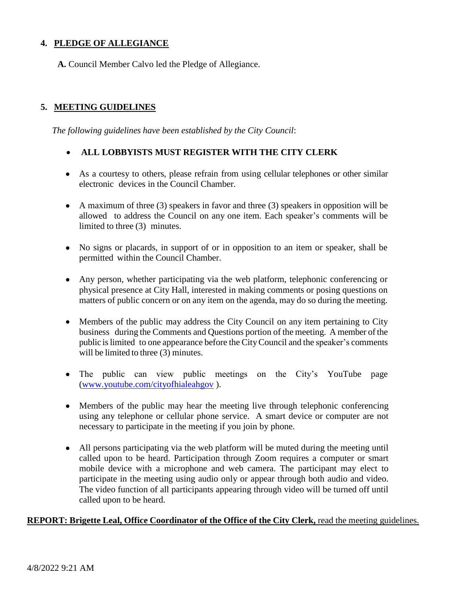# **4. PLEDGE OF ALLEGIANCE**

**A.** Council Member Calvo led the Pledge of Allegiance.

# **5. MEETING GUIDELINES**

*The following guidelines have been established by the City Council*:

## • **ALL LOBBYISTS MUST REGISTER WITH THE CITY CLERK**

- As a courtesy to others, please refrain from using cellular telephones or other similar electronic devices in the Council Chamber.
- A maximum of three (3) speakers in favor and three (3) speakers in opposition will be allowed to address the Council on any one item. Each speaker's comments will be limited to three (3) minutes.
- No signs or placards, in support of or in opposition to an item or speaker, shall be permitted within the Council Chamber.
- Any person, whether participating via the web platform, telephonic conferencing or physical presence at City Hall, interested in making comments or posing questions on matters of public concern or on any item on the agenda, may do so during the meeting.
- Members of the public may address the City Council on any item pertaining to City business during the Comments and Questions portion of the meeting. A member of the public islimited to one appearance before the CityCouncil and the speaker's comments will be limited to three (3) minutes.
- The public can view public meetings on the City's YouTube page [\(www.youtube.com/cityofhialeahgov](http://www.youtube.com/cityofhialeahgov) ).
- Members of the public may hear the meeting live through telephonic conferencing using any telephone or cellular phone service. A smart device or computer are not necessary to participate in the meeting if you join by phone.
- All persons participating via the web platform will be muted during the meeting until called upon to be heard. Participation through Zoom requires a computer or smart mobile device with a microphone and web camera. The participant may elect to participate in the meeting using audio only or appear through both audio and video. The video function of all participants appearing through video will be turned off until called upon to be heard.

#### **REPORT: Brigette Leal, Office Coordinator of the Office of the City Clerk,** read the meeting guidelines.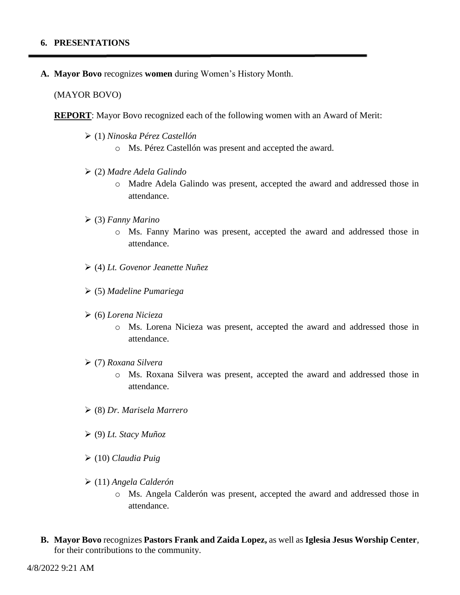#### **6. PRESENTATIONS**

**A. Mayor Bovo** recognizes **women** during Women's History Month.

(MAYOR BOVO)

**REPORT**: Mayor Bovo recognized each of the following women with an Award of Merit:

- ➢ (1) *Ninoska Pérez Castellón*
	- o Ms. Pérez Castellón was present and accepted the award.
- ➢ (2) *Madre Adela Galindo* 
	- o Madre Adela Galindo was present, accepted the award and addressed those in attendance.
- ➢ (3) *Fanny Marino*
	- o Ms. Fanny Marino was present, accepted the award and addressed those in attendance.
- ➢ (4) *Lt. Govenor Jeanette Nuñez*
- ➢ (5) *Madeline Pumariega*
- ➢ (6) *Lorena Nicieza*
	- o Ms. Lorena Nicieza was present, accepted the award and addressed those in attendance.
- ➢ (7) *Roxana Silvera*
	- o Ms. Roxana Silvera was present, accepted the award and addressed those in attendance.
- ➢ (8) *Dr. Marisela Marrero*
- ➢ (9) *Lt. Stacy Muñoz*
- ➢ (10) *Claudia Puig*
- ➢ (11) *Angela Calderón*
	- o Ms. Angela Calderón was present, accepted the award and addressed those in attendance.
- **B. Mayor Bovo** recognizes **Pastors Frank and Zaida Lopez,** as well as **Iglesia Jesus Worship Center**, for their contributions to the community.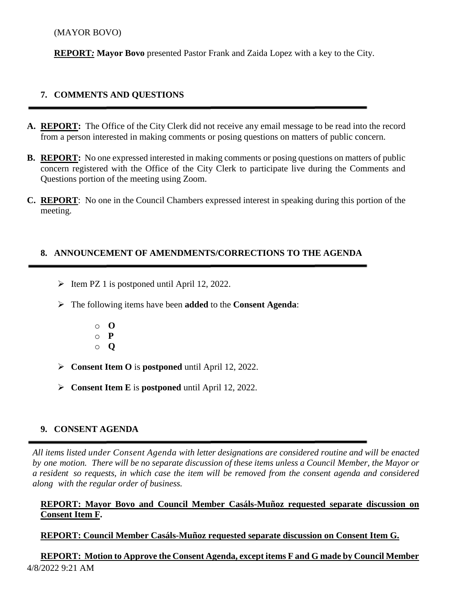## (MAYOR BOVO)

**REPORT***:* **Mayor Bovo** presented Pastor Frank and Zaida Lopez with a key to the City.

# **7. COMMENTS AND QUESTIONS**

- **A. REPORT:** The Office of the City Clerk did not receive any email message to be read into the record from a person interested in making comments or posing questions on matters of public concern.
- **B. REPORT:** No one expressed interested in making comments or posing questions on matters of public concern registered with the Office of the City Clerk to participate live during the Comments and Questions portion of the meeting using Zoom.
- **C. REPORT**: No one in the Council Chambers expressed interest in speaking during this portion of the meeting.

#### **8. ANNOUNCEMENT OF AMENDMENTS/CORRECTIONS TO THE AGENDA**

- $\triangleright$  Item PZ 1 is postponed until April 12, 2022.
- ➢ The following items have been **added** to the **Consent Agenda**:
	- o **O** o **P**
	- o **Q**
- ➢ **Consent Item O** is **postponed** until April 12, 2022.
- ➢ **Consent Item E** is **postponed** until April 12, 2022.

#### **9. CONSENT AGENDA**

*All items listed under Consent Agenda with letter designations are considered routine and will be enacted* by one motion. There will be no separate discussion of these items unless a Council Member, the Mayor or a resident so requests, in which case the item will be removed from the consent agenda and considered *along with the regular order of business.*

# **REPORT: Mayor Bovo and Council Member Casáls-Muñoz requested separate discussion on Consent Item F.**

**REPORT: Council Member Casáls-Muñoz requested separate discussion on Consent Item G.**

4/8/2022 9:21 AM **REPORT: Motion to Approve the Consent Agenda, except items F and G made by Council Member**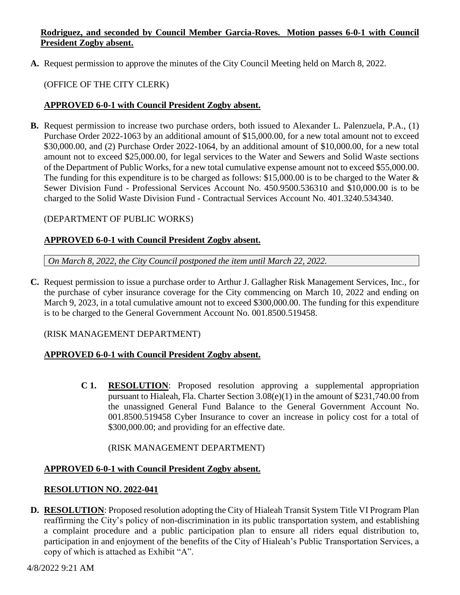# **Rodriguez, and seconded by Council Member Garcia-Roves. Motion passes 6-0-1 with Council President Zogby absent.**

**A.** Request permission to approve the minutes of the City Council Meeting held on March 8, 2022.

# (OFFICE OF THE CITY CLERK)

## **APPROVED 6-0-1 with Council President Zogby absent.**

**B.** Request permission to increase two purchase orders, both issued to Alexander L. Palenzuela, P.A., (1) Purchase Order 2022-1063 by an additional amount of \$15,000.00, for a new total amount not to exceed \$30,000.00, and (2) Purchase Order 2022-1064, by an additional amount of \$10,000.00, for a new total amount not to exceed \$25,000.00, for legal services to the Water and Sewers and Solid Waste sections of the Department of Public Works, for a new total cumulative expense amount not to exceed \$55,000.00. The funding for this expenditure is to be charged as follows: \$15,000.00 is to be charged to the Water & Sewer Division Fund - Professional Services Account No. 450.9500.536310 and \$10,000.00 is to be charged to the Solid Waste Division Fund - Contractual Services Account No. 401.3240.534340.

## (DEPARTMENT OF PUBLIC WORKS)

## **APPROVED 6-0-1 with Council President Zogby absent.**

*On March 8, 2022, the City Council postponed the item until March 22, 2022.* 

**C.** Request permission to issue a purchase order to Arthur J. Gallagher Risk Management Services, Inc., for the purchase of cyber insurance coverage for the City commencing on March 10, 2022 and ending on March 9, 2023, in a total cumulative amount not to exceed \$300,000.00. The funding for this expenditure is to be charged to the General Government Account No. 001.8500.519458.

#### (RISK MANAGEMENT DEPARTMENT)

#### **APPROVED 6-0-1 with Council President Zogby absent.**

**C 1. RESOLUTION**: Proposed resolution approving a supplemental appropriation pursuant to Hialeah, Fla. Charter Section 3.08(e)(1) in the amount of \$231,740.00 from the unassigned General Fund Balance to the General Government Account No. 001.8500.519458 Cyber Insurance to cover an increase in policy cost for a total of \$300,000.00; and providing for an effective date.

#### (RISK MANAGEMENT DEPARTMENT)

# **APPROVED 6-0-1 with Council President Zogby absent.**

#### **RESOLUTION NO. 2022-041**

**D. RESOLUTION**: Proposed resolution adopting the City of Hialeah Transit System Title VI Program Plan reaffirming the City's policy of non-discrimination in its public transportation system, and establishing a complaint procedure and a public participation plan to ensure all riders equal distribution to, participation in and enjoyment of the benefits of the City of Hialeah's Public Transportation Services, a copy of which is attached as Exhibit "A".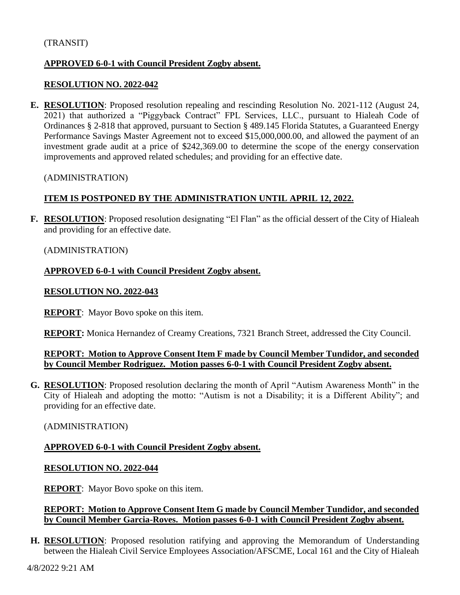## **APPROVED 6-0-1 with Council President Zogby absent.**

#### **RESOLUTION NO. 2022-042**

**E. RESOLUTION**: Proposed resolution repealing and rescinding Resolution No. 2021-112 (August 24, 2021) that authorized a "Piggyback Contract" FPL Services, LLC., pursuant to Hialeah Code of Ordinances § 2-818 that approved, pursuant to Section § 489.145 Florida Statutes, a Guaranteed Energy Performance Savings Master Agreement not to exceed \$15,000,000.00, and allowed the payment of an investment grade audit at a price of \$242,369.00 to determine the scope of the energy conservation improvements and approved related schedules; and providing for an effective date.

(ADMINISTRATION)

## **ITEM IS POSTPONED BY THE ADMINISTRATION UNTIL APRIL 12, 2022.**

**F. RESOLUTION**: Proposed resolution designating "El Flan" as the official dessert of the City of Hialeah and providing for an effective date.

#### (ADMINISTRATION)

#### **APPROVED 6-0-1 with Council President Zogby absent.**

#### **RESOLUTION NO. 2022-043**

**REPORT**: Mayor Bovo spoke on this item.

**REPORT:** Monica Hernandez of Creamy Creations, 7321 Branch Street, addressed the City Council.

#### **REPORT: Motion to Approve Consent Item F made by Council Member Tundidor, and seconded by Council Member Rodriguez. Motion passes 6-0-1 with Council President Zogby absent.**

**G. RESOLUTION**: Proposed resolution declaring the month of April "Autism Awareness Month" in the City of Hialeah and adopting the motto: "Autism is not a Disability; it is a Different Ability"; and providing for an effective date.

#### (ADMINISTRATION)

#### **APPROVED 6-0-1 with Council President Zogby absent.**

#### **RESOLUTION NO. 2022-044**

**REPORT**: Mayor Bovo spoke on this item.

## **REPORT: Motion to Approve Consent Item G made by Council Member Tundidor, and seconded by Council Member Garcia-Roves. Motion passes 6-0-1 with Council President Zogby absent.**

**H. RESOLUTION**: Proposed resolution ratifying and approving the Memorandum of Understanding between the Hialeah Civil Service Employees Association/AFSCME, Local 161 and the City of Hialeah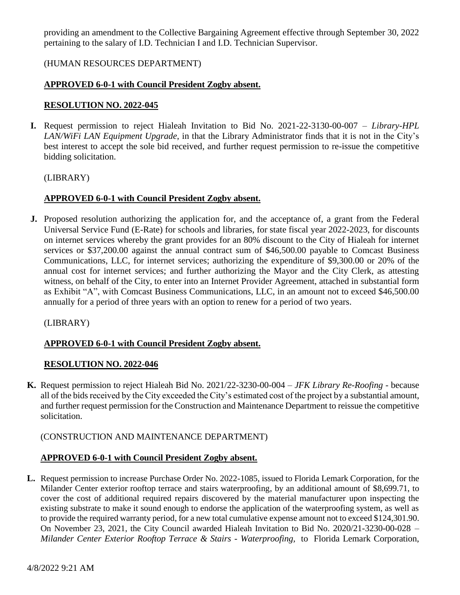providing an amendment to the Collective Bargaining Agreement effective through September 30, 2022 pertaining to the salary of I.D. Technician I and I.D. Technician Supervisor.

# (HUMAN RESOURCES DEPARTMENT)

# **APPROVED 6-0-1 with Council President Zogby absent.**

## **RESOLUTION NO. 2022-045**

**I.** Request permission to reject Hialeah Invitation to Bid No. 2021-22-3130-00-007 – *Library-HPL LAN/WiFi LAN Equipment Upgrade*, in that the Library Administrator finds that it is not in the City's best interest to accept the sole bid received, and further request permission to re-issue the competitive bidding solicitation.

## (LIBRARY)

## **APPROVED 6-0-1 with Council President Zogby absent.**

**J.** Proposed resolution authorizing the application for, and the acceptance of, a grant from the Federal Universal Service Fund (E-Rate) for schools and libraries, for state fiscal year 2022-2023, for discounts on internet services whereby the grant provides for an 80% discount to the City of Hialeah for internet services or \$37,200.00 against the annual contract sum of \$46,500.00 payable to Comcast Business Communications, LLC, for internet services; authorizing the expenditure of \$9,300.00 or 20% of the annual cost for internet services; and further authorizing the Mayor and the City Clerk, as attesting witness, on behalf of the City, to enter into an Internet Provider Agreement, attached in substantial form as Exhibit "A", with Comcast Business Communications, LLC, in an amount not to exceed \$46,500.00 annually for a period of three years with an option to renew for a period of two years.

#### (LIBRARY)

# **APPROVED 6-0-1 with Council President Zogby absent.**

#### **RESOLUTION NO. 2022-046**

**K.** Request permission to reject Hialeah Bid No. 2021/22-3230-00-004 – *JFK Library Re-Roofing -* because all of the bids received by the City exceeded the City's estimated cost of the project by a substantial amount, and further request permission for the Construction and Maintenance Department to reissue the competitive solicitation.

#### (CONSTRUCTION AND MAINTENANCE DEPARTMENT)

# **APPROVED 6-0-1 with Council President Zogby absent.**

**L.** Request permission to increase Purchase Order No. 2022-1085, issued to Florida Lemark Corporation, for the Milander Center exterior rooftop terrace and stairs waterproofing, by an additional amount of \$8,699.71, to cover the cost of additional required repairs discovered by the material manufacturer upon inspecting the existing substrate to make it sound enough to endorse the application of the waterproofing system, as well as to provide the required warranty period, for a new total cumulative expense amount not to exceed \$124,301.90. On November 23, 2021, the City Council awarded Hialeah Invitation to Bid No. 2020/21-3230-00-028 – *Milander Center Exterior Rooftop Terrace & Stairs - Waterproofing,* to Florida Lemark Corporation,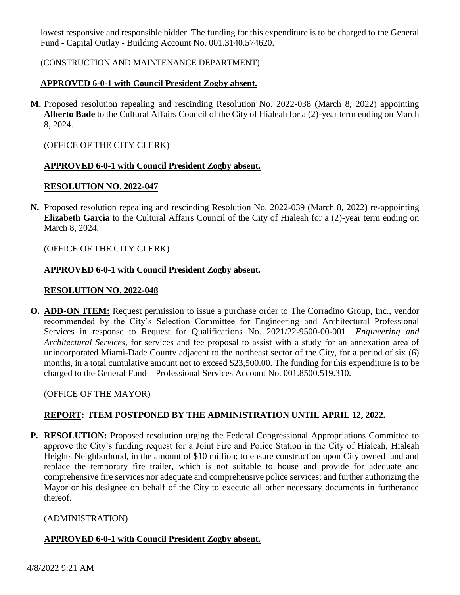lowest responsive and responsible bidder. The funding for this expenditure is to be charged to the General Fund - Capital Outlay - Building Account No. 001.3140.574620.

## (CONSTRUCTION AND MAINTENANCE DEPARTMENT)

# **APPROVED 6-0-1 with Council President Zogby absent.**

**M.** Proposed resolution repealing and rescinding Resolution No. 2022-038 (March 8, 2022) appointing **Alberto Bade** to the Cultural Affairs Council of the City of Hialeah for a (2)-year term ending on March 8, 2024.

(OFFICE OF THE CITY CLERK)

## **APPROVED 6-0-1 with Council President Zogby absent.**

## **RESOLUTION NO. 2022-047**

**N.** Proposed resolution repealing and rescinding Resolution No. 2022-039 (March 8, 2022) re-appointing **Elizabeth Garcia** to the Cultural Affairs Council of the City of Hialeah for a (2)-year term ending on March 8, 2024.

## (OFFICE OF THE CITY CLERK)

## **APPROVED 6-0-1 with Council President Zogby absent.**

## **RESOLUTION NO. 2022-048**

**O. ADD-ON ITEM:** Request permission to issue a purchase order to The Corradino Group, Inc., vendor recommended by the City's Selection Committee for Engineering and Architectural Professional Services in response to Request for Qualifications No. 2021/22-9500-00-001 –*Engineering and Architectural Services*, for services and fee proposal to assist with a study for an annexation area of unincorporated Miami-Dade County adjacent to the northeast sector of the City, for a period of six (6) months, in a total cumulative amount not to exceed \$23,500.00. The funding for this expenditure is to be charged to the General Fund – Professional Services Account No. 001.8500.519.310.

(OFFICE OF THE MAYOR)

# **REPORT: ITEM POSTPONED BY THE ADMINISTRATION UNTIL APRIL 12, 2022.**

**P. RESOLUTION:** Proposed resolution urging the Federal Congressional Appropriations Committee to approve the City's funding request for a Joint Fire and Police Station in the City of Hialeah, Hialeah Heights Neighborhood, in the amount of \$10 million; to ensure construction upon City owned land and replace the temporary fire trailer, which is not suitable to house and provide for adequate and comprehensive fire services nor adequate and comprehensive police services; and further authorizing the Mayor or his designee on behalf of the City to execute all other necessary documents in furtherance thereof.

# (ADMINISTRATION)

# **APPROVED 6-0-1 with Council President Zogby absent.**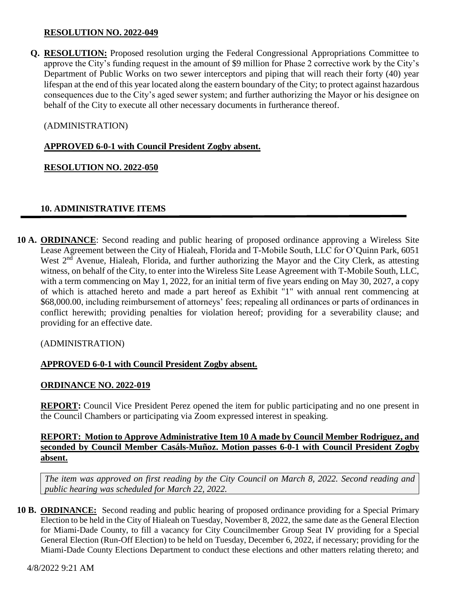## **RESOLUTION NO. 2022-049**

**Q. RESOLUTION:** Proposed resolution urging the Federal Congressional Appropriations Committee to approve the City's funding request in the amount of \$9 million for Phase 2 corrective work by the City's Department of Public Works on two sewer interceptors and piping that will reach their forty (40) year lifespan at the end of this year located along the eastern boundary of the City; to protect against hazardous consequences due to the City's aged sewer system; and further authorizing the Mayor or his designee on behalf of the City to execute all other necessary documents in furtherance thereof.

# (ADMINISTRATION)

## **APPROVED 6-0-1 with Council President Zogby absent.**

## **RESOLUTION NO. 2022-050**

## **10. ADMINISTRATIVE ITEMS**

**10 A. ORDINANCE**: Second reading and public hearing of proposed ordinance approving a Wireless Site Lease Agreement between the City of Hialeah, Florida and T-Mobile South, LLC for O'Quinn Park, 6051 West 2<sup>nd</sup> Avenue, Hialeah, Florida, and further authorizing the Mayor and the City Clerk, as attesting witness, on behalf of the City, to enter into the Wireless Site Lease Agreement with T-Mobile South, LLC, with a term commencing on May 1, 2022, for an initial term of five years ending on May 30, 2027, a copy of which is attached hereto and made a part hereof as Exhibit "1" with annual rent commencing at \$68,000.00, including reimbursement of attorneys' fees; repealing all ordinances or parts of ordinances in conflict herewith; providing penalties for violation hereof; providing for a severability clause; and providing for an effective date.

#### (ADMINISTRATION)

#### **APPROVED 6-0-1 with Council President Zogby absent.**

#### **ORDINANCE NO. 2022-019**

**REPORT:** Council Vice President Perez opened the item for public participating and no one present in the Council Chambers or participating via Zoom expressed interest in speaking.

## **REPORT: Motion to Approve Administrative Item 10 A made by Council Member Rodriguez, and seconded by Council Member Casáls-Muñoz. Motion passes 6-0-1 with Council President Zogby absent.**

*The item was approved on first reading by the City Council on March 8, 2022. Second reading and public hearing was scheduled for March 22, 2022.* 

**10 B. ORDINANCE:** Second reading and public hearing of proposed ordinance providing for a Special Primary Election to be held in the City of Hialeah on Tuesday, November 8, 2022, the same date as the General Election for Miami-Dade County, to fill a vacancy for City Councilmember Group Seat IV providing for a Special General Election (Run-Off Election) to be held on Tuesday, December 6, 2022, if necessary; providing for the Miami-Dade County Elections Department to conduct these elections and other matters relating thereto; and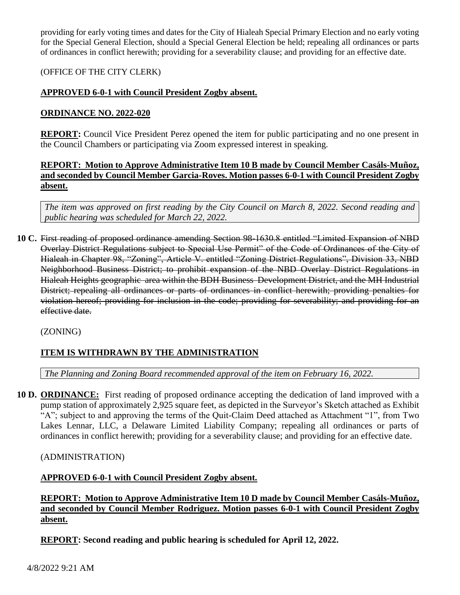providing for early voting times and dates for the City of Hialeah Special Primary Election and no early voting for the Special General Election, should a Special General Election be held; repealing all ordinances or parts of ordinances in conflict herewith; providing for a severability clause; and providing for an effective date.

# (OFFICE OF THE CITY CLERK)

# **APPROVED 6-0-1 with Council President Zogby absent.**

## **ORDINANCE NO. 2022-020**

**REPORT:** Council Vice President Perez opened the item for public participating and no one present in the Council Chambers or participating via Zoom expressed interest in speaking.

# **REPORT: Motion to Approve Administrative Item 10 B made by Council Member Casáls-Muñoz, and seconded by Council Member Garcia-Roves. Motion passes 6-0-1 with Council President Zogby absent.**

*The item was approved on first reading by the City Council on March 8, 2022. Second reading and public hearing was scheduled for March 22, 2022.* 

**10 C.** First reading of proposed ordinance amending Section 98-1630.8 entitled "Limited Expansion of NBD Overlay District Regulations subject to Special Use Permit" of the Code of Ordinances of the City of Hialeah in Chapter 98, "Zoning", Article V. entitled "Zoning District Regulations", Division 33, NBD Neighborhood Business District; to prohibit expansion of the NBD Overlay District Regulations in Hialeah Heights geographic area within the BDH Business Development District, and the MH Industrial District; repealing all ordinances or parts of ordinances in conflict herewith; providing penalties for violation hereof; providing for inclusion in the code; providing for severability; and providing for an effective date.

(ZONING)

# **ITEM IS WITHDRAWN BY THE ADMINISTRATION**

*The Planning and Zoning Board recommended approval of the item on February 16, 2022.*

**10 D. ORDINANCE:** First reading of proposed ordinance accepting the dedication of land improved with a pump station of approximately 2,925 square feet, as depicted in the Surveyor's Sketch attached as Exhibit "A"; subject to and approving the terms of the Quit-Claim Deed attached as Attachment "1", from Two Lakes Lennar, LLC, a Delaware Limited Liability Company; repealing all ordinances or parts of ordinances in conflict herewith; providing for a severability clause; and providing for an effective date.

(ADMINISTRATION)

# **APPROVED 6-0-1 with Council President Zogby absent.**

**REPORT: Motion to Approve Administrative Item 10 D made by Council Member Casáls-Muñoz, and seconded by Council Member Rodriguez. Motion passes 6-0-1 with Council President Zogby absent.**

**REPORT: Second reading and public hearing is scheduled for April 12, 2022.**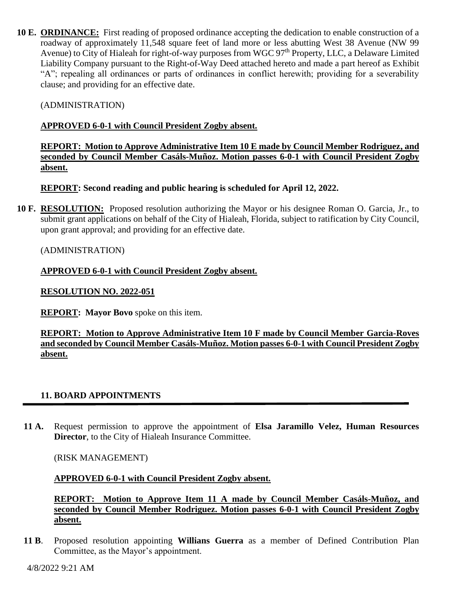**10 E. ORDINANCE:** First reading of proposed ordinance accepting the dedication to enable construction of a roadway of approximately 11,548 square feet of land more or less abutting West 38 Avenue (NW 99 Avenue) to City of Hialeah for right-of-way purposes from WGC 97<sup>th</sup> Property, LLC, a Delaware Limited Liability Company pursuant to the Right-of-Way Deed attached hereto and made a part hereof as Exhibit "A"; repealing all ordinances or parts of ordinances in conflict herewith; providing for a severability clause; and providing for an effective date.

(ADMINISTRATION)

# **APPROVED 6-0-1 with Council President Zogby absent.**

# **REPORT: Motion to Approve Administrative Item 10 E made by Council Member Rodriguez, and seconded by Council Member Casáls-Muñoz. Motion passes 6-0-1 with Council President Zogby absent.**

**REPORT: Second reading and public hearing is scheduled for April 12, 2022.**

**10 F. RESOLUTION:** Proposed resolution authorizing the Mayor or his designee Roman O. Garcia, Jr., to submit grant applications on behalf of the City of Hialeah, Florida, subject to ratification by City Council, upon grant approval; and providing for an effective date.

# (ADMINISTRATION)

# **APPROVED 6-0-1 with Council President Zogby absent.**

## **RESOLUTION NO. 2022-051**

**REPORT: Mayor Bovo** spoke on this item.

**REPORT: Motion to Approve Administrative Item 10 F made by Council Member Garcia-Roves and seconded by Council Member Casáls-Muñoz. Motion passes 6-0-1 with Council President Zogby absent.**

# **11. BOARD APPOINTMENTS**

**11 A.** Request permission to approve the appointment of **Elsa Jaramillo Velez, Human Resources Director**, to the City of Hialeah Insurance Committee.

(RISK MANAGEMENT)

#### **APPROVED 6-0-1 with Council President Zogby absent.**

**REPORT: Motion to Approve Item 11 A made by Council Member Casáls-Muñoz, and seconded by Council Member Rodriguez. Motion passes 6-0-1 with Council President Zogby absent.**

**11 B**. Proposed resolution appointing **Willians Guerra** as a member of Defined Contribution Plan Committee, as the Mayor's appointment.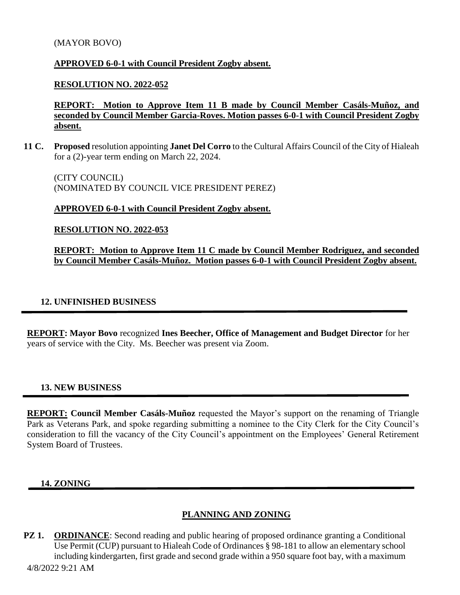#### (MAYOR BOVO)

#### **APPROVED 6-0-1 with Council President Zogby absent.**

#### **RESOLUTION NO. 2022-052**

**REPORT: Motion to Approve Item 11 B made by Council Member Casáls-Muñoz, and seconded by Council Member Garcia-Roves. Motion passes 6-0-1 with Council President Zogby absent.**

**11 C. Proposed** resolution appointing **Janet Del Corro** to the Cultural Affairs Council of the City of Hialeah for a (2)-year term ending on March 22, 2024.

(CITY COUNCIL) (NOMINATED BY COUNCIL VICE PRESIDENT PEREZ)

#### **APPROVED 6-0-1 with Council President Zogby absent.**

**RESOLUTION NO. 2022-053**

**REPORT: Motion to Approve Item 11 C made by Council Member Rodriguez, and seconded by Council Member Casáls-Muñoz. Motion passes 6-0-1 with Council President Zogby absent.**

#### **12. UNFINISHED BUSINESS**

**REPORT: Mayor Bovo** recognized **Ines Beecher, Office of Management and Budget Director** for her years of service with the City. Ms. Beecher was present via Zoom.

#### **13. NEW BUSINESS**

**REPORT: Council Member Casáls-Muñoz** requested the Mayor's support on the renaming of Triangle Park as Veterans Park, and spoke regarding submitting a nominee to the City Clerk for the City Council's consideration to fill the vacancy of the City Council's appointment on the Employees' General Retirement System Board of Trustees.

#### **14. ZONING**

#### **PLANNING AND ZONING**

**PZ 1. ORDINANCE**: Second reading and public hearing of proposed ordinance granting a Conditional Use Permit (CUP) pursuant to Hialeah Code of Ordinances § 98-181 to allow an elementary school including kindergarten, first grade and second grade within a 950 square foot bay, with a maximum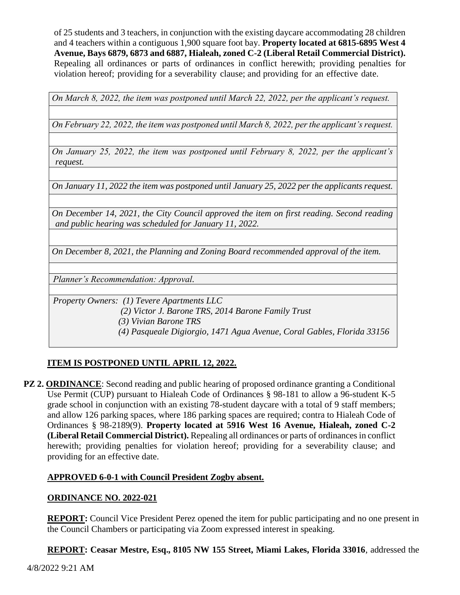of 25 students and 3 teachers, in conjunction with the existing daycare accommodating 28 children and 4 teachers within a contiguous 1,900 square foot bay. **Property located at 6815-6895 West 4 Avenue, Bays 6879, 6873 and 6887, Hialeah, zoned C-2 (Liberal Retail Commercial District).** Repealing all ordinances or parts of ordinances in conflict herewith; providing penalties for violation hereof; providing for a severability clause; and providing for an effective date.

*On March 8, 2022, the item was postponed until March 22, 2022, per the applicant's request.* 

*On February 22, 2022, the item was postponed until March 8, 2022, per the applicant's request.* 

*On January 25, 2022, the item was postponed until February 8, 2022, per the applicant's request.*

*On January 11, 2022 the item was postponed until January 25, 2022 per the applicants request.*

*On December 14, 2021, the City Council approved the item on first reading. Second reading and public hearing was scheduled for January 11, 2022.*

*On December 8, 2021, the Planning and Zoning Board recommended approval of the item.*

*Planner's Recommendation: Approval.*

*Property Owners: (1) Tevere Apartments LLC*

 *(2) Victor J. Barone TRS, 2014 Barone Family Trust* 

 *(3) Vivian Barone TRS*

 *(4) Pasqueale Digiorgio, 1471 Agua Avenue, Coral Gables, Florida 33156*

# **ITEM IS POSTPONED UNTIL APRIL 12, 2022.**

**PZ 2. ORDINANCE**: Second reading and public hearing of proposed ordinance granting a Conditional Use Permit (CUP) pursuant to Hialeah Code of Ordinances § 98-181 to allow a 96-student K-5 grade school in conjunction with an existing 78-student daycare with a total of 9 staff members; and allow 126 parking spaces, where 186 parking spaces are required; contra to Hialeah Code of Ordinances § 98-2189(9). **Property located at 5916 West 16 Avenue, Hialeah, zoned C-2 (Liberal Retail Commercial District).** Repealing all ordinances or parts of ordinances in conflict herewith; providing penalties for violation hereof; providing for a severability clause; and providing for an effective date.

# **APPROVED 6-0-1 with Council President Zogby absent.**

# **ORDINANCE NO. 2022-021**

**REPORT:** Council Vice President Perez opened the item for public participating and no one present in the Council Chambers or participating via Zoom expressed interest in speaking.

**REPORT: Ceasar Mestre, Esq., 8105 NW 155 Street, Miami Lakes, Florida 33016**, addressed the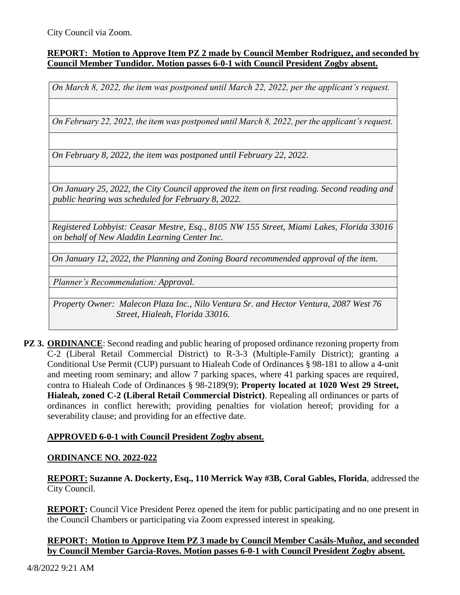City Council via Zoom.

## **REPORT: Motion to Approve Item PZ 2 made by Council Member Rodriguez, and seconded by Council Member Tundidor. Motion passes 6-0-1 with Council President Zogby absent.**

*On March 8, 2022, the item was postponed until March 22, 2022, per the applicant's request.* 

*On February 22, 2022, the item was postponed until March 8, 2022, per the applicant's request.*

*On February 8, 2022, the item was postponed until February 22, 2022.* 

*On January 25, 2022, the City Council approved the item on first reading. Second reading and public hearing was scheduled for February 8, 2022.*

*Registered Lobbyist: Ceasar Mestre, Esq., 8105 NW 155 Street, Miami Lakes, Florida 33016 on behalf of New Aladdin Learning Center Inc.* 

*On January 12, 2022, the Planning and Zoning Board recommended approval of the item.*

*Planner's Recommendation: Approval.*

*Property Owner: Malecon Plaza Inc., Nilo Ventura Sr. and Hector Ventura, 2087 West 76 Street, Hialeah, Florida 33016.*

**PZ 3. ORDINANCE:** Second reading and public hearing of proposed ordinance rezoning property from C-2 (Liberal Retail Commercial District) to R-3-3 (Multiple-Family District); granting a Conditional Use Permit (CUP) pursuant to Hialeah Code of Ordinances § 98-181 to allow a 4-unit and meeting room seminary; and allow 7 parking spaces, where 41 parking spaces are required, contra to Hialeah Code of Ordinances § 98-2189(9); **Property located at 1020 West 29 Street, Hialeah, zoned C-2 (Liberal Retail Commercial District)**. Repealing all ordinances or parts of ordinances in conflict herewith; providing penalties for violation hereof; providing for a severability clause; and providing for an effective date.

# **APPROVED 6-0-1 with Council President Zogby absent.**

#### **ORDINANCE NO. 2022-022**

**REPORT: Suzanne A. Dockerty, Esq., 110 Merrick Way #3B, Coral Gables, Florida**, addressed the City Council.

**REPORT:** Council Vice President Perez opened the item for public participating and no one present in the Council Chambers or participating via Zoom expressed interest in speaking.

## **REPORT: Motion to Approve Item PZ 3 made by Council Member Casáls-Muñoz, and seconded by Council Member Garcia-Roves. Motion passes 6-0-1 with Council President Zogby absent.**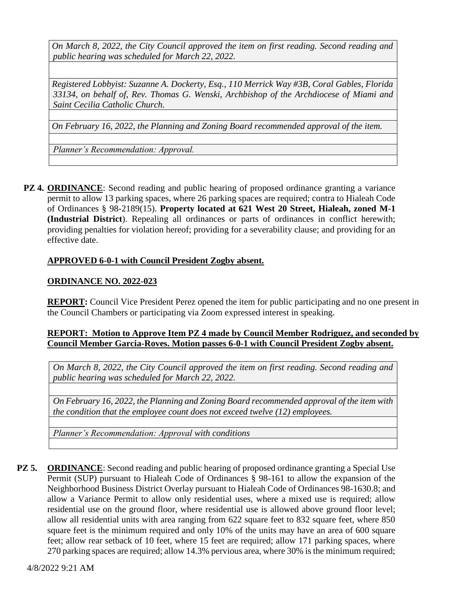*On March 8, 2022, the City Council approved the item on first reading. Second reading and public hearing was scheduled for March 22, 2022.*

*Registered Lobbyist: Suzanne A. Dockerty, Esq., 110 Merrick Way #3B, Coral Gables, Florida 33134, on behalf of, Rev. Thomas G. Wenski, Archbishop of the Archdiocese of Miami and Saint Cecilia Catholic Church.*

*On February 16, 2022, the Planning and Zoning Board recommended approval of the item.*

*Planner's Recommendation: Approval.*

**PZ 4. ORDINANCE**: Second reading and public hearing of proposed ordinance granting a variance permit to allow 13 parking spaces, where 26 parking spaces are required; contra to Hialeah Code of Ordinances § 98-2189(15). **Property located at 621 West 20 Street, Hialeah, zoned M-1 (Industrial District**). Repealing all ordinances or parts of ordinances in conflict herewith; providing penalties for violation hereof; providing for a severability clause; and providing for an effective date.

# **APPROVED 6-0-1 with Council President Zogby absent.**

# **ORDINANCE NO. 2022-023**

**REPORT:** Council Vice President Perez opened the item for public participating and no one present in the Council Chambers or participating via Zoom expressed interest in speaking.

## **REPORT: Motion to Approve Item PZ 4 made by Council Member Rodriguez, and seconded by Council Member Garcia-Roves. Motion passes 6-0-1 with Council President Zogby absent.**

*On March 8, 2022, the City Council approved the item on first reading. Second reading and public hearing was scheduled for March 22, 2022.*

*On February 16, 2022, the Planning and Zoning Board recommended approval of the item with the condition that the employee count does not exceed twelve (12) employees.*

*Planner's Recommendation: Approval with conditions*

**PZ 5. ORDINANCE**: Second reading and public hearing of proposed ordinance granting a Special Use Permit (SUP) pursuant to Hialeah Code of Ordinances § 98-161 to allow the expansion of the Neighborhood Business District Overlay pursuant to Hialeah Code of Ordinances 98-1630.8; and allow a Variance Permit to allow only residential uses, where a mixed use is required; allow residential use on the ground floor, where residential use is allowed above ground floor level; allow all residential units with area ranging from 622 square feet to 832 square feet, where 850 square feet is the minimum required and only 10% of the units may have an area of 600 square feet; allow rear setback of 10 feet, where 15 feet are required; allow 171 parking spaces, where 270 parking spaces are required; allow 14.3% pervious area, where 30% is the minimum required;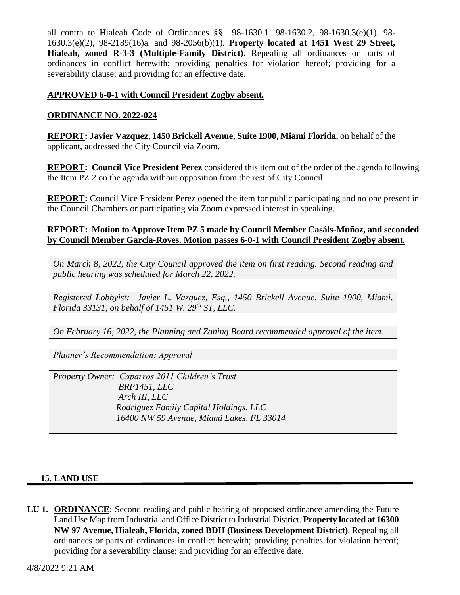all contra to Hialeah Code of Ordinances §§ 98-1630.1, 98-1630.2, 98-1630.3(e)(1), 98- 1630.3(e)(2), 98-2189(16)a. and 98-2056(b)(1). **Property located at 1451 West 29 Street, Hialeah, zoned R-3-3 (Multiple-Family District).** Repealing all ordinances or parts of ordinances in conflict herewith; providing penalties for violation hereof; providing for a severability clause; and providing for an effective date.

## **APPROVED 6-0-1 with Council President Zogby absent.**

## **ORDINANCE NO. 2022-024**

**REPORT: Javier Vazquez, 1450 Brickell Avenue, Suite 1900, Miami Florida,** on behalf of the applicant, addressed the City Council via Zoom.

**REPORT: Council Vice President Perez** considered this item out of the order of the agenda following the Item PZ 2 on the agenda without opposition from the rest of City Council.

**REPORT:** Council Vice President Perez opened the item for public participating and no one present in the Council Chambers or participating via Zoom expressed interest in speaking.

## **REPORT: Motion to Approve Item PZ 5 made by Council Member Casáls-Muñoz, and seconded by Council Member Garcia-Roves. Motion passes 6-0-1 with Council President Zogby absent.**

*On March 8, 2022, the City Council approved the item on first reading. Second reading and public hearing was scheduled for March 22, 2022.*

*Registered Lobbyist: Javier L. Vazquez, Esq., 1450 Brickell Avenue, Suite 1900, Miami, Florida 33131, on behalf of 1451 W. 29th ST, LLC.* 

*On February 16, 2022, the Planning and Zoning Board recommended approval of the item.*

*Planner's Recommendation: Approval*

*Property Owner: Caparros 2011 Children's Trust BRP1451, LLC Arch III, LLC Rodriguez Family Capital Holdings, LLC 16400 NW 59 Avenue, Miami Lakes, FL 33014*

#### **15. LAND USE**

**LU 1. ORDINANCE:** Second reading and public hearing of proposed ordinance amending the Future Land Use Map from Industrial and Office District to Industrial District. **Property located at 16300 NW 97 Avenue, Hialeah, Florida, zoned BDH (Business Development District)**. Repealing all ordinances or parts of ordinances in conflict herewith; providing penalties for violation hereof; providing for a severability clause; and providing for an effective date.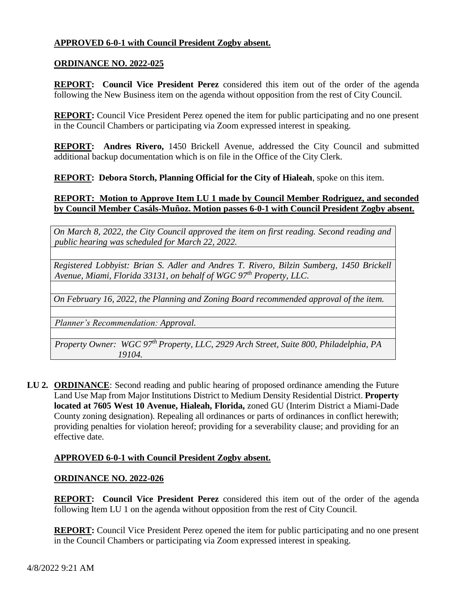# **APPROVED 6-0-1 with Council President Zogby absent.**

### **ORDINANCE NO. 2022-025**

**REPORT: Council Vice President Perez** considered this item out of the order of the agenda following the New Business item on the agenda without opposition from the rest of City Council.

**REPORT:** Council Vice President Perez opened the item for public participating and no one present in the Council Chambers or participating via Zoom expressed interest in speaking.

**REPORT: Andres Rivero,** 1450 Brickell Avenue, addressed the City Council and submitted additional backup documentation which is on file in the Office of the City Clerk.

**REPORT: Debora Storch, Planning Official for the City of Hialeah**, spoke on this item.

## **REPORT: Motion to Approve Item LU 1 made by Council Member Rodriguez, and seconded by Council Member Casáls-Muñoz. Motion passes 6-0-1 with Council President Zogby absent.**

*On March 8, 2022, the City Council approved the item on first reading. Second reading and public hearing was scheduled for March 22, 2022.*

*Registered Lobbyist: Brian S. Adler and Andres T. Rivero, Bilzin Sumberg, 1450 Brickell Avenue, Miami, Florida 33131, on behalf of WGC 97th Property, LLC.*

*On February 16, 2022, the Planning and Zoning Board recommended approval of the item.*

*Planner's Recommendation: Approval.*

*Property Owner: WGC 97th Property, LLC, 2929 Arch Street, Suite 800, Philadelphia, PA 19104.*

**LU 2. ORDINANCE**: Second reading and public hearing of proposed ordinance amending the Future Land Use Map from Major Institutions District to Medium Density Residential District. **Property located at 7605 West 10 Avenue, Hialeah, Florida,** zoned GU (Interim District a Miami-Dade County zoning designation). Repealing all ordinances or parts of ordinances in conflict herewith; providing penalties for violation hereof; providing for a severability clause; and providing for an effective date.

#### **APPROVED 6-0-1 with Council President Zogby absent.**

#### **ORDINANCE NO. 2022-026**

**REPORT: Council Vice President Perez** considered this item out of the order of the agenda following Item LU 1 on the agenda without opposition from the rest of City Council.

**REPORT:** Council Vice President Perez opened the item for public participating and no one present in the Council Chambers or participating via Zoom expressed interest in speaking.